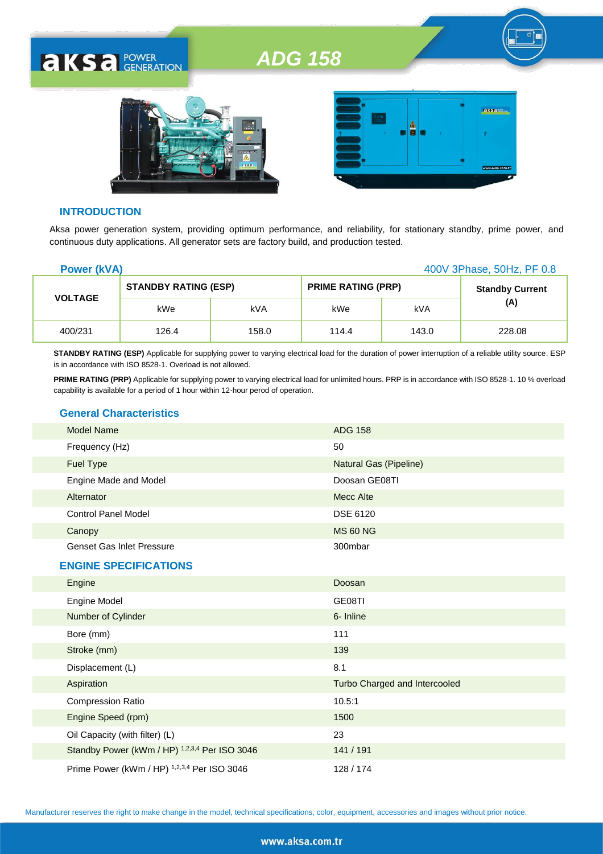# *ADG 158*





#### **INTRODUCTION**

**AKSA POWER** 

Aksa power generation system, providing optimum performance, and reliability, for stationary standby, prime power, and continuous duty applications. All generator sets are factory build, and production tested.

| <b>Power (kVA)</b> |                             |       | 400V 3Phase, 50Hz, PF 0.8 |            |                        |
|--------------------|-----------------------------|-------|---------------------------|------------|------------------------|
| <b>VOLTAGE</b>     | <b>STANDBY RATING (ESP)</b> |       | <b>PRIME RATING (PRP)</b> |            | <b>Standby Current</b> |
|                    | kWe                         | kVA   | kWe                       | <b>kVA</b> | (A)                    |
| 400/231            | 126.4                       | 158.0 | 114.4                     | 143.0      | 228.08                 |

**STANDBY RATING (ESP)** Applicable for supplying power to varying electrical load for the duration of power interruption of a reliable utility source. ESP is in accordance with ISO 8528-1. Overload is not allowed.

PRIME RATING (PRP) Applicable for supplying power to varying electrical load for unlimited hours. PRP is in accordance with ISO 8528-1. 10 % overload capability is available for a period of 1 hour within 12-hour perod of operation.

#### **General Characteristics**

| <b>Model Name</b>                | <b>ADG 158</b>         |
|----------------------------------|------------------------|
| Frequency (Hz)                   | 50                     |
| Fuel Type                        | Natural Gas (Pipeline) |
| Engine Made and Model            | Doosan GE08TI          |
| Alternator                       | Mecc Alte              |
| <b>Control Panel Model</b>       | <b>DSE 6120</b>        |
| Canopy                           | <b>MS 60 NG</b>        |
| <b>Genset Gas Inlet Pressure</b> | 300mbar                |
| <b>ENGINE SPECIFICATIONS</b>     |                        |
| Engine                           | Doosan                 |
|                                  |                        |

| <b>Lugure</b>                                 | DUUSAII                       |
|-----------------------------------------------|-------------------------------|
| <b>Engine Model</b>                           | GE08TI                        |
| Number of Cylinder                            | 6- Inline                     |
| Bore (mm)                                     | 111                           |
| Stroke (mm)                                   | 139                           |
| Displacement (L)                              | 8.1                           |
| Aspiration                                    | Turbo Charged and Intercooled |
| <b>Compression Ratio</b>                      | 10.5:1                        |
| Engine Speed (rpm)                            | 1500                          |
| Oil Capacity (with filter) (L)                | 23                            |
| Standby Power (kWm / HP) 1,2,3,4 Per ISO 3046 | 141 / 191                     |
| Prime Power (kWm / HP) 1,2,3,4 Per ISO 3046   | 128 / 174                     |

Manufacturer reserves the right to make change in the model, technical specifications, color, equipment, accessories and images without prior notice.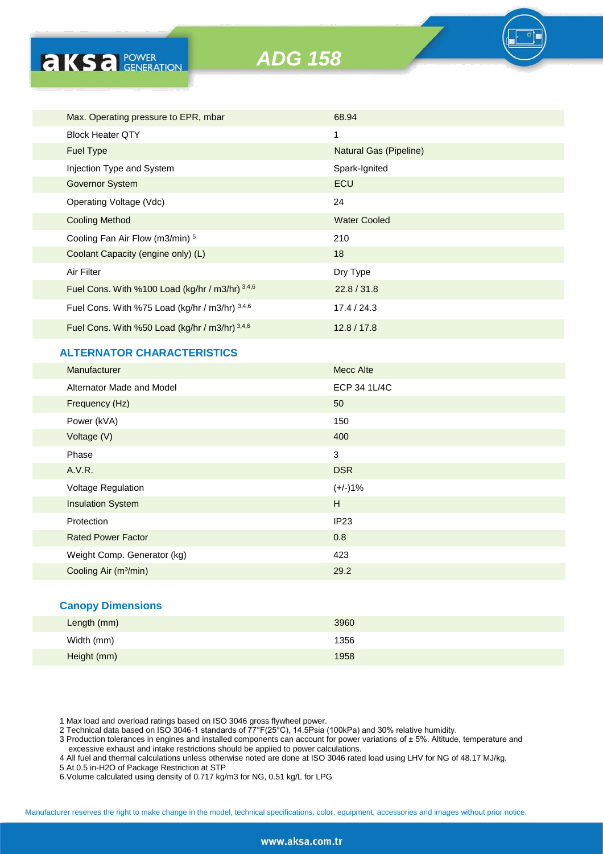| Max. Operating pressure to EPR, mbar            | 68.94                  |
|-------------------------------------------------|------------------------|
| <b>Block Heater QTY</b>                         | $\mathbf 1$            |
| <b>Fuel Type</b>                                | Natural Gas (Pipeline) |
| Injection Type and System                       | Spark-Ignited          |
| <b>Governor System</b>                          | ECU                    |
| Operating Voltage (Vdc)                         | 24                     |
| <b>Cooling Method</b>                           | <b>Water Cooled</b>    |
| Cooling Fan Air Flow (m3/min) 5                 | 210                    |
| Coolant Capacity (engine only) (L)              | 18                     |
| Air Filter                                      | Dry Type               |
| Fuel Cons. With %100 Load (kg/hr / m3/hr) 3,4,6 | 22.8 / 31.8            |
| Fuel Cons. With %75 Load (kg/hr / m3/hr) 3,4,6  | 17.4 / 24.3            |
| Fuel Cons. With %50 Load (kg/hr / m3/hr) 3,4,6  | 12.8/17.8              |
|                                                 |                        |

# **ALTERNATOR CHARACTERISTICS**

**AKSA POWER** 

| Manufacturer                      | Mecc Alte    |
|-----------------------------------|--------------|
| Alternator Made and Model         | ECP 34 1L/4C |
| Frequency (Hz)                    | 50           |
| Power (kVA)                       | 150          |
| Voltage (V)                       | 400          |
| Phase                             | 3            |
| A.V.R.                            | <b>DSR</b>   |
| <b>Voltage Regulation</b>         | $(+/-)1%$    |
| <b>Insulation System</b>          | H            |
| Protection                        | IP23         |
| <b>Rated Power Factor</b>         | 0.8          |
| Weight Comp. Generator (kg)       | 423          |
| Cooling Air (m <sup>3</sup> /min) | 29.2         |
|                                   |              |

### **Canopy Dimensions**

| Length (mm) | 3960 |
|-------------|------|
| Width (mm)  | 1356 |
| Height (mm) | 1958 |

1 Max load and overload ratings based on ISO 3046 gross flywheel power.

2 Technical data based on ISO 3046-1 standards of 77°F(25°C), 14.5Psia (100kPa) and 30% relative humidity.

3 Production tolerances in engines and installed components can account for power variations of ± 5%. Altitude, temperature and excessive exhaust and intake restrictions should be applied to power calculations.

4 All fuel and thermal calculations unless otherwise noted are done at ISO 3046 rated load using LHV for NG of 48.17 MJ/kg.

- 5 At 0.5 in-H2O of Package Restriction at STP
- 6.Volume calculated using density of 0.717 kg/m3 for NG, 0.51 kg/L for LPG

Manufacturer reserves the right to make change in the model, technical specifications, color, equipment, accessories and images without prior notice.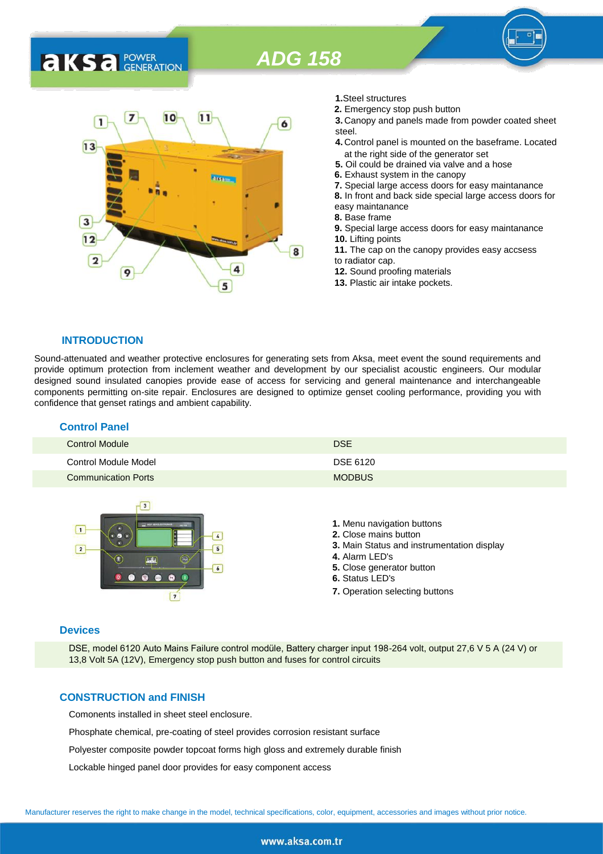# *ADG 158*



- **1.**Steel structures
- **2.** Emergency stop push button
- **3.** Canopy and panels made from powder coated sheet steel.
- **4.** Control panel is mounted on the baseframe. Located at the right side of the generator set
- **5.** Oil could be drained via valve and a hose
- **6.** Exhaust system in the canopy
- **7.** Special large access doors for easy maintanance

**8.** In front and back side special large access doors for easy maintanance

- **8.** Base frame
- **9.** Special large access doors for easy maintanance
- **10.** Lifting points **11.** The cap on the canopy provides easy accsess to radiator cap.
- **12.** Sound proofing materials
- **13.** Plastic air intake pockets.

**INTRODUCTION** Sound-attenuated and weather protective enclosures for generating sets from Aksa, meet event the sound requirements and provide optimum protection from inclement weather and development by our specialist acoustic engineers. Our modular designed sound insulated canopies provide ease of access for servicing and general maintenance and interchangeable components permitting on-site repair. Enclosures are designed to optimize genset cooling performance, providing you with

## **Control Panel**

**AKSA** POWER

| Control Module             | <b>DSE</b>    |
|----------------------------|---------------|
| Control Module Model       | DSE 6120      |
| <b>Communication Ports</b> | <b>MODBUS</b> |



confidence that genset ratings and ambient capability.

- **1.** Menu navigation buttons
- **2.** Close mains button
- **3.** Main Status and instrumentation display
- **4.** Alarm LED's
- **5.** Close generator button
- **6.** Status LED's
- **7.** Operation selecting buttons

#### **Devices**

DSE, model 6120 Auto Mains Failure control modüle, Battery charger input 198-264 volt, output 27,6 V 5 A (24 V) or 13,8 Volt 5A (12V), Emergency stop push button and fuses for control circuits

#### **CONSTRUCTION and FINISH**

Comonents installed in sheet steel enclosure.

Phosphate chemical, pre-coating of steel provides corrosion resistant surface

Polyester composite powder topcoat forms high gloss and extremely durable finish

Lockable hinged panel door provides for easy component access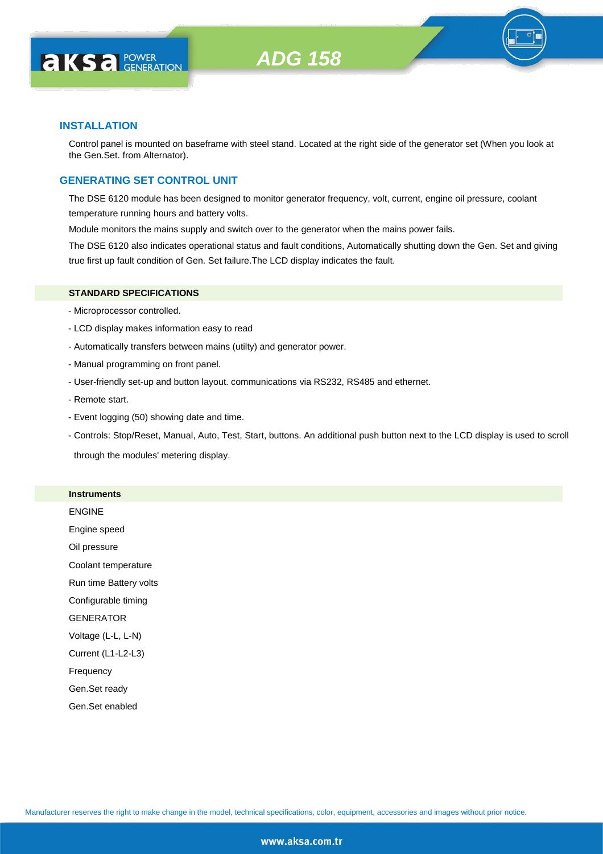

### **INSTALLATION**

**AKS** *C* FOWER

Control panel is mounted on baseframe with steel stand. Located at the right side of the generator set (When you look at the Gen.Set. from Alternator).

# **GENERATING SET CONTROL UNIT**

The DSE 6120 module has been designed to monitor generator frequency, volt, current, engine oil pressure, coolant temperature running hours and battery volts.

Module monitors the mains supply and switch over to the generator when the mains power fails.

The DSE 6120 also indicates operational status and fault conditions, Automatically shutting down the Gen. Set and giving true first up fault condition of Gen. Set failure.The LCD display indicates the fault.

#### **STANDARD SPECIFICATIONS**

- Microprocessor controlled.
- LCD display makes information easy to read
- Automatically transfers between mains (utilty) and generator power.
- Manual programming on front panel.
- User-friendly set-up and button layout. communications via RS232, RS485 and ethernet.
- Remote start.
- Event logging (50) showing date and time.
- Controls: Stop/Reset, Manual, Auto, Test, Start, buttons. An additional push button next to the LCD display is used to scroll through the modules' metering display.

#### **Instruments**

ENGINE Engine speed Oil pressure Coolant temperature Run time Battery volts Configurable timing **GENERATOR** Voltage (L-L, L-N) Current (L1-L2-L3) Frequency Gen.Set ready Gen.Set enabled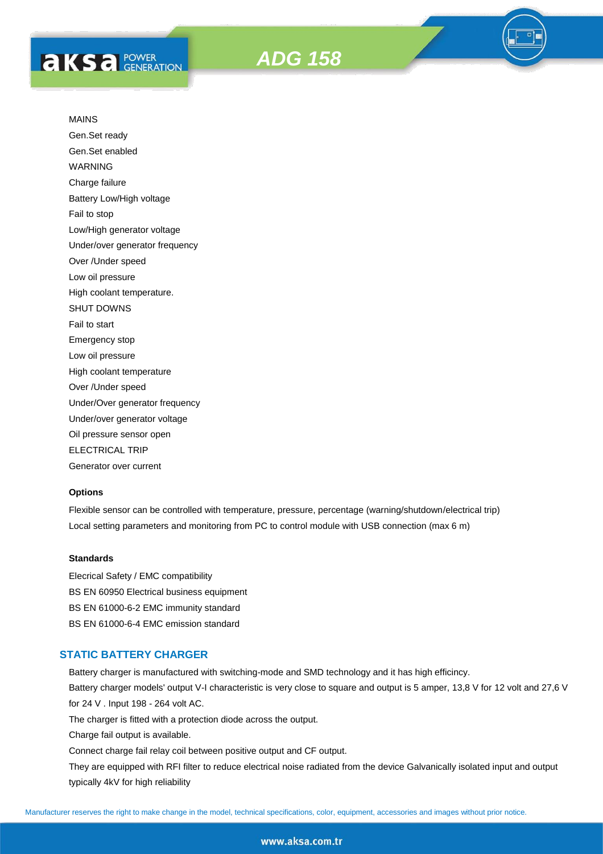

Gen.Set ready Gen.Set enabled WARNING Charge failure Battery Low/High voltage Fail to stop Low/High generator voltage Under/over generator frequency Over /Under speed Low oil pressure High coolant temperature. SHUT DOWNS Fail to start Emergency stop Low oil pressure High coolant temperature Over /Under speed Under/Over generator frequency Under/over generator voltage Oil pressure sensor open ELECTRICAL TRIP Generator over current

#### **Options**

Flexible sensor can be controlled with temperature, pressure, percentage (warning/shutdown/electrical trip) Local setting parameters and monitoring from PC to control module with USB connection (max 6 m)

#### **Standards**

Elecrical Safety / EMC compatibility BS EN 60950 Electrical business equipment BS EN 61000-6-2 EMC immunity standard BS EN 61000-6-4 EMC emission standard

# **STATIC BATTERY CHARGER**

Battery charger is manufactured with switching-mode and SMD technology and it has high efficincy.

Battery charger models' output V-I characteristic is very close to square and output is 5 amper, 13,8 V for 12 volt and 27,6 V for 24 V . Input 198 - 264 volt AC.

The charger is fitted with a protection diode across the output.

Charge fail output is available.

Connect charge fail relay coil between positive output and CF output.

They are equipped with RFI filter to reduce electrical noise radiated from the device Galvanically isolated input and output typically 4kV for high reliability